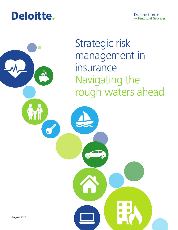# Deloitte.

Deloitte Center *for* Financial Services

Strategic risk management in insurance Navigating the rough waters ahead

 $\bigcirc$ 

**August 2015**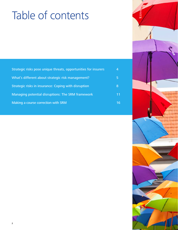# Table of contents

| Strategic risks pose unique threats, opportunities for insurers | 47 |
|-----------------------------------------------------------------|----|
| What's different about strategic risk management?               | 5  |
| Strategic risks in insurance: Coping with disruption            | 8  |
| Managing potential disruptions: The SRM framework               | 11 |
| Making a course correction with SRM                             | 16 |

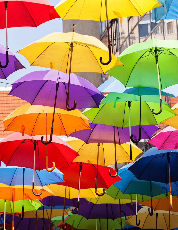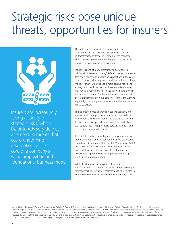# Strategic risks pose unique threats, opportunities for insurers



Insurers are increasingly facing a variety of strategic risks, which Deloitte Advisory defines as emerging threats that could undermine assumptions at the core of a company's value proposition and foundational business model.

The potential for individual companies and entire industries to be disrupted and perhaps even displaced by transformational trends in technology, the economy, and consumer preferences is on the rise in today's rapidly evolving, increasingly digitized economy.

Insurance is one of many sectors facing such 'strategic risks'—which Deloitte Advisory<sup>1</sup> defines as emerging threats that could conceivably undermine assumptions at the core of a company's value proposition and foundational business model.<sup>2</sup> However, there is also a more positive flip side to strategic risks, as those that anticipate and adapt in time may have an opportunity not just to survive but to thrive in the new environment. On the other hand, those that fail to detect disruptive risks on the horizon, or ignore the warning signs, might be hard put to remain competitive against more proactive players.

The heightened pace of change in today's economy and society should prompt more insurance industry leaders to move out of their comfort zones and prepare to transform the way they develop, underwrite, and price products, as well as how they target prospects, service customers, and recruit appropriately skilled talent.

To more effectively cope with game-changing technologies and new competition from nontraditional sources, insurers should consider adopting Strategic Risk Management (SRM) as a holistic framework to not only help them manage the potential downside of disruptive risks, but also perhaps achieve faster growth by better preparing them to capitalize on the resulting opportunities.

While the disruptive threats carriers face may be transformational, a transition to SRM—rather than being a radical departure—actually represents a natural next step in an insurance company's risk management maturity curve.

<sup>1</sup>As used in this document, "Deloitte Advisory" means Deloitte & Touche LLP, which provides audit and enterprise risk services; Deloitte Financial Advisory Services LLP, which provides forensic, dispute, and other consulting services; and its affiliate, Deloitte Transactions and Business Analytics LLP, which provides a wide range of advisory and analytics services. Deloitte Transactions and Business Analytics LLP is not a certified public accounting firm. These entities are separate subsidiaries of Deloitte LLP. Please see www.deloitte.com/us/about for a detailed description of the legal structure of Deloitte LLP and its subsidiaries. Certain services may not be available to attest clients under the rules and regulations of public accounting. <sup>2</sup> [Deloitte Development LLC, "Deloitte on disruption: Changing course in a disruptive world," October 2014.](http://www2.deloitte.com/us/en/pages/risk/articles/deloitte-on-disruption.html)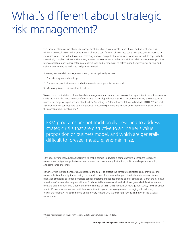# What's different about strategic risk management?

The fundamental objective of any risk management discipline is to anticipate future threats and prevent or at least minimize potential losses. Risk management is already a core function of insurance companies since, unlike most other industries, carriers are in the business of assessing and covering potential worst-case scenarios. Indeed, to cope with the increasingly complex business environment, insurers have continued to enhance their internal risk management practices by incorporating more sophisticated data-analysis tools and technologies to better support underwriting, pricing, and claims management, as well as to hedge investment risks.

However, traditional risk management among insurers primarily focuses on

- 1. The risks they are underwriting;
- 2. The adequacy of their reserves and reinsurance to cover potential losses; and
- 3. Managing risks in their investment portfolio.

To overcome the limitations of traditional risk management and expand their loss control capabilities, in recent years many carriers (along with a good number of their clients) have adopted Enterprise Risk Management (ERM), encompassing a much wider range of exposures and stakeholders. According to Deloitte Touche Tohmatsu Limited's (DTTL) 2015 Global Risk Management survey, 95 percent of insurance company respondents either have an ERM program in place or are in the process of implementing one.3

ERM programs are not traditionally designed to address strategic risks that are disruptive to an insurer's value proposition or business model, and which are generally difficult to foresee, measure, and minimize.

ERM goes beyond individual business units to enable carriers to develop a comprehensive mechanism to identify, measure, and mitigate organization-wide exposures, such as currency fluctuations, political and reputational risks, and compliance challenges.

However, with the traditional or ERM approach, the goal is to protect the company against tangible, knowable, and measurable risks that might arise during the normal course of business, relying on historical data to develop future mitigation strategies. Such traditional loss-control programs are not designed to address strategic risks that are disruptive to an insurer's essential value proposition or fundamental business model, and which are generally difficult to foresee, measure, and minimize. This is borne out by the findings of DTTL's 2015 Global Risk Management survey, in which about four in 10 insurance respondents said they found identifying and managing new and emerging risks extremely or very challenging.4 This could be one of the primary reasons why strategic risks have fallen between the cracks at many insurers.

<sup>3</sup> "Global risk management survey, ninth edition," Deloitte University Press, May 13, 2015. 4 Ibid.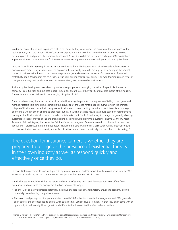In addition, ownership of such exposures is often not clear. Do they come under the purview of those responsible for setting strategy? Is it the responsibility of senior management and the board, or line-of-business managers to scope out strategic risks and prepare the company to respond? As we discuss later in this paper, adding an SRM mindset and implementation structure is essential for insurers to answer such questions and deal with potentially disruptive threats.

Another factor hindering recognition and response efforts is that while insurers have gained considerable expertise in managing and monetizing insurable risk, the exposures they generally deal with are largely those arising in the normal course of business, with the maximum downside potential generally measured in terms of achievement of planned profitability goals. What about the risks that emerge from outside their lines of business or even their industry, in terms of changes in the way their products or services are conceived, sold, accesssed or maintained?

Such disruptive developments could end up undermining or perhaps destroying the value of a particular insurance company's core function and business model. They might even threaten the viability of an entire subset of the industry. These existential threats fall within the emerging discipline of SRM.

There have been many instances in various industries illustrating the potential consequences of failing to recognize and manage strategic risks. One prime example is the disruption of the video rental business, culminating in the dramatic collapse of Blockbuster, once the industry leader. Blockbuster achieved rapid growth due to its differentiated strategy of offering a wide selection of films at large retail outlets, including localized movie catalogues based on neighborhood demographics. Blockbuster dominated the video rental market until Netflix found a way to change the game by allowing customers to choose movies online and then delivering selected DVDs directly to a customer's home via the US Postal Service. As Michael Raynor, director at the Deloitte Center for Integrated Research, notes in his chapter in a new book about ERM,<sup>5</sup> "Blockbuster is no more not because it failed to grapple with the risks associated with its internal context, but because it failed to assess correctly a specific risk in its external context, specifically the risks of and to its strategy."

The question for insurance carriers is whether they are prepared to recognize the presence of existential threats in their own industry as well as respond quickly and effectively once they do.

Later on, Netflix overcame its own strategic risks by streaming movies and TV shows directly to consumers over the Web, as well as by producing its own content rather than just distributing the work of others.

The Blockbuster example highlights the nature and sources of strategic risks and illustrates how SRM differs from operational and enterprise risk management in two fundamental ways.

- For one, SRM primarily addresses potentially disruptive changes in society, technology, and/or the economy, posing potentially overwhelming competitive threats.
- The second and perhaps most important distinction with SRM is that traditional risk management and ERM generally don't address the potential upside of risk, while strategic risks usually have a "flip side," in that they often come with an opportunity to achieve significant growth and differentiation if accounted for effectively and in time.

<sup>5</sup> Michael E. Raynor, "The Risks 'of' and 'to' a strategy: The case of Blockbuster and the need for strategic flexibility," Enterprise Risk Management: A Common Framework for the Entire Organization, Butterworth-Heinemann; 1st edition (September 2015).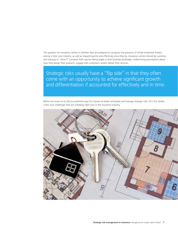The question for insurance carriers is whether they are prepared to recognize the presence of similar existential threats arising in their own industry, as well as respond quickly and effectively once they do. Insurance carriers should be scanning and reacting to "what if" scenarios that may be taking shape in their business landscape, undermining assumptions about how they design their products, engage with customers, and/or deliver their services.

Strategic risks usually have a "flip side" in that they often come with an opportunity to achieve significant growth and differentiation if accounted for effectively and in time.

Before we move on to discuss potential ways for insurers to better anticipate and manage strategic risks, let's first review a few such challenges that are unfolding right now in the insurance industry.

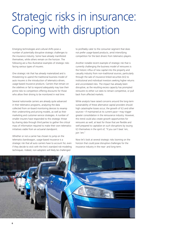# Strategic risks in insurance: Coping with disruption

Emerging technologies and cultural shifts pose a number of potentially disruptive strategic challenges to the insurance industry. Some have already manifested themselves, while others remain on the horizon. The following are a few illustrative examples of strategic risks facing various types of insurers.

One strategic risk that has already materialized and is threatening to upend the traditional business model of auto insurers is the introduction of telematics-driven, usage-based insurance products. Carriers that remain on the sidelines or fail to respond adequately may lose their prime risks to competitors offering discounts for those who allow their driving to be monitored in real time.

Several nationwide carriers are already quite advanced in their telematics programs, analyzing the data collected from on-board monitoring devices to revamp their underwriting and pricing models, as well as their marketing and customer-service strategies. A number of smaller insurers have responded to this strategic threat by sharing data through third parties to gather the critical mass of information required to make their own telematics initiatives viable from an actuarial standpoint.

Whether or not a carrier has chosen to jump on the telematics bandwagon, usage-based insurance is a strategic risk that all auto carriers have to account for, even if they decide to stick with the line's standard risk-modeling techniques. Indeed, non-adopters will likely be challenged

to profitably cater to the consumer segment that does not prefer usage-based products, amid intensifying competition for the best drivers from telematics players.

Another notable recent example of strategic risk that is currently challenging the business model of reinsurers is the historic influx of new capital into the property and casualty industry from non-traditional sources, particularly through the sale of insurance-linked securities (ILS) to institutional and individual investors seeking higher returns and uncorrelated risks. The impact has already been disruptive, as the resulting excess capacity has prompted reinsurers to either cut rates to remain competitive, or pull back from affected markets.

While analysts have raised concerns around the long-term sustainability of these alternative capital providers should high catastrophe losses occur, the growth of ILS and other sources—if maintained at its current pace—may trigger greater consolidation in the reinsurance industry. However, this trend could also create growth opportunities for reinsurers as well, at least for those that are flexible and well prepared to capitalize on such disruptions by issuing ILS themselves in the spirit of, "if you can't beat 'em, join 'em."

Now let's look at several strategic risks looming on the horizon that could pose disruptive challenges for the insurance industry in the near- and long-term.

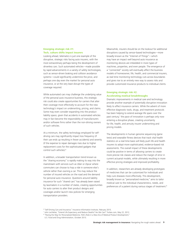### **Emerging strategic risk #1: Tech, culture shifts impact insurers**

Looking ahead, telematics is just one example of the disruptive, strategic risks facing auto insurers, with the most extraordinary perhaps being the development of driverless cars. Such automated vehicles—made possible by rapid advancements in a variety of safety technologies, such as sensor-driven braking and collision avoidance systems—could significantly undermine the price, and perhaps one day even the market for personal auto insurance, or at the very least disrupt the types of coverage required.

While automated cars may challenge the underlying value of the personal auto insurance business, this strategic risk could also create opportunities for carriers that alter their coverage most effectively to account for the new technology's impact on underwriting, pricing, and claims. Some may even consider expanding into the product liability space, given that accidents in automated vehicles may in fact become the responsibility of manufacturers and/or software firms rather than the non-driving owners of such vehicles.

At a minimum, the safety technology employed for selfdriving cars may significantly impact loss frequency (if their use ends up resulting in fewer accidents) and severity (if the expense to repair damages rises due to higher replacement costs for the sophisticated gadgets that control such vehicles).<sup>6</sup>

In addition, a broader transportation trend known as the "sharing economy" is rapidly making its way into the mainstream with services such as Uber or Zipcar where commuters can choose to hop a ride in someone else's vehicle rather than owning a car. This may reduce the number of insured vehicles on the road and the demand for personal auto insurance. Questions around liability insurance for such "shared cars" has already been raised by lawmakers in a number of states, creating opportunities for auto carriers to alter their product designs and coverages and/or launch new policies for emerging transportation providers.

Meanwhile, insurers should be on the lookout for additional disruptions caused by sensor-based technologies—more broadly known as the "Internet of Things"—which may have an impact well beyond auto insurance as monitoring devices are imbedded in more types of machines, properties, and even people. The emergence of a "connected" society will eventually affect the business models of homeowner, life, health, and commercial insurers, as real-time monitoring technology cuts across boundaries and gives rise to an entirely new way to assess risks and provide customized insurance products to individual clients.

### **Emerging strategic risk #2: Accelerating medical breakthroughs**

Dramatic improvements in medical care and technology provide another example of potentially disruptive innovation likely to affect insurance carriers. While the advent of more effective diagnostic tools, drugs, and treatment protocols has been helping to extend average life spans over the past century,<sup>7</sup> the pace of innovation is perhaps only now entering a disruptive phase, creating uncertainty for life, health, and annuity insurer underwriting and pricing models.

The developments in human genome sequencing (gene tests) and wearable fitness devices that track vital health statistics on a real-time basis will likely push life and health insurers to adopt more sophisticated, evidence-based risk assessments. The overall impact of these developments could be positive in terms of allowing carriers to create more precise risk classes and reduce the margin of error in current actuarial models, while ultimately resulting in more effective pricing strategies and improved profitability.

In addition, researchers are already developing prototypes of medicines that can be customized for individuals and help cure diseases more effectively. This development, broadly known as "personalized medicine," aims to tailor medical care to the individual characteristics, needs, and preferences of a patient during various stages of treatment.<sup>8</sup>

<sup>6 &</sup>quot;Self-Driving Cars and Insurance," Insurance Information Institute, February 2015.

<sup>7</sup> John Lechleiter, "Extend Life Expectancy and Reduce Deaths? Yes We Can!" Forbes.com, May 22, 2012.

<sup>8</sup> "Paving the Way for Personalized Medicine, FDA's Role in a New Era of Medical Product Development,"

U.S. Food and Drug Administration, October 2013.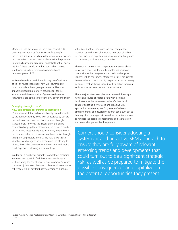Moreover, with the advent of three-dimensional (3D) printing (also known as "additive manufacturing"), the possibilities are expanding to the extent where doctors can customize prosthetics and implants, with the potential to artificially generate organs for transplants not far down the line.<sup>9</sup> These benefits can theoretically be achieved at a lower cost when compared with traditional treatment protocols.<sup>10</sup>

While such medical breakthroughs may benefit millions of sick or injured individuals, how will insurers adjust to accommodate the ongoing extension in lifespans, impacting underlying mortality assumptions for life insurance and the economics of guaranteed-income features that are at the core of longevity-driven annuities?

# **Emerging strategic risk #3: New competitors for insurance distribution**

US insurance distribution has traditionally been dominated by the agency channel, along with direct sales by carriers themselves online, over the phone, or even through standard mail. However, the expansion of the online channel is changing the distribution dynamics of a number of coverages, most notably auto insurance, where directto-consumer sales via the Internet continue to rise through third-party aggregators. Meanwhile, new players such as online search engines are entering and threatening to disrupt the market even further, with online merchandise retailers perhaps following suit before long.

In addition, a number of disruptive competitors emerging in the UK market might find their way to US shores as well, including the rise of peer-to-peer insurance (in which consumers join or start their own online social networks to either share risk or buy third-party coverage as a group),

value-based (rather than price-focused) comparison websites, as well as social brokers (a new type of online intermediary, who negotiate insurance on behalf of groups of consumers, such as young, safe drivers).

The entry of one or more competitors mentioned above could seize or at least loosen the control insurers have over their distribution systems, and perhaps disrupt an insurer's link to consumers. Moreover, insurers are likely to be compelled to match the high expectations of tech-savvy customers that are being shaped by their online shopping and customer experiences with other industries.

These are just a few examples to understand the unique nature and source of strategic risks with disruptive implications for insurance companies. Carriers should consider adopting a systematic and proactive SRM approach to ensure they are fully aware of relevant emerging trends and developments that could turn out to be a significant strategic risk, as well as be better prepared to mitigate the possible consequences and capitalize on the potential opportunities they present.

Carriers should consider adopting a systematic and proactive SRM approach to ensure they are fully aware of relevant emerging trends and developments that could turn out to be a significant strategic risk, as well as be prepared to mitigate the possible consequences and capitalize on the potential opportunities they present.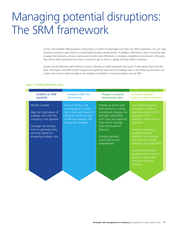# Managing potential disruptions: The SRM framework

Carriers that establish SRM programs should enjoy a number of advantages over their non-SRM competitors. For one, they should be quicker to spot evidence of potentially disruptive developments. In addition, SRM-driven carriers should be able to adapt their products, services, and business models more effectively to changing competitive environments. Ultimately, they will be better positioned not only to survive but also to thrive in rapidly evolving market conditions.

Insurers should therefore start thinking of ways to develop a model framework (see Figure 1) that equips them with the tools, techniques, and skills to both mitigate and exploit the dual nature of strategic risks. In the following discussion, we outline how insurers might leverage a new blueprint to establish a strong foundation around SRM.

|  | <b>Figure 1: Putting SRM into action</b> |  |  |
|--|------------------------------------------|--|--|
|  |                                          |  |  |

| <b>Establish an SRM</b><br>capability                                                                                                                                                                      | <b>Integrate SRM into</b><br>risk-sensing                                                                                                                    | Prepare a scenario<br>based action plan                                                                                                                                                                                                              | Leverage cognitive<br>tools to enhance decisions                                                                                                                                                                                                                                                                                                                         |
|------------------------------------------------------------------------------------------------------------------------------------------------------------------------------------------------------------|--------------------------------------------------------------------------------------------------------------------------------------------------------------|------------------------------------------------------------------------------------------------------------------------------------------------------------------------------------------------------------------------------------------------------|--------------------------------------------------------------------------------------------------------------------------------------------------------------------------------------------------------------------------------------------------------------------------------------------------------------------------------------------------------------------------|
| Identify a leader<br>Map the implications of<br>strategic risks with the<br>company's risk appetite<br>Leverage risk sensing<br>tools to generate early<br>warning signals for<br>emerging strategic risks | Build or fortify a risk<br>sensing system to help<br>the C-Suite and board of<br>directors remain on top<br>of the key strategic risks<br>facing the company | Prepare an action plan<br>formulated by a newly<br>constituted strategic risk<br>oversight committee,<br>with input and approval<br>from senior manage-<br>ment and board of<br>directors<br>Conduct periodic<br>mock drills to test<br>preparedness | Use computer-based<br>simulation models to<br>help executives test the<br>strength of their<br>decisions under various<br>scenarios<br>Power a continuous<br>feedback loop to<br>highlight the cognitive<br>traps that can hinder<br>strategic risk assessments<br>Implement remedial<br>programs that enhance<br>decision making and<br>minimize influence<br>of biases |
|                                                                                                                                                                                                            |                                                                                                                                                              |                                                                                                                                                                                                                                                      |                                                                                                                                                                                                                                                                                                                                                                          |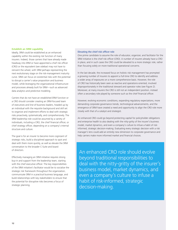#### **Establish an SRM capability**

Ideally, SRM could be established as an enhanced capability within the existing risk function of many insurers. Indeed, those carriers that have already made headway into ERM or have appointed a chief risk officer (CRO) or the equivalent (see sidebar) may not have to reinvent the wheel, with SRM perhaps representing the next evolutionary stage on the risk-management maturity curve. SRM can focus on existential risks with the potential to disrupt a carrier's value proposition and business model, while leveraging the organizational infrastructure and processes already built for ERM—such as advanced data analytics and predictive modeling.

Carriers that do not have an established ERM function or a CRO should consider creating an SRM-focused team of executives and line-of-business leaders, headed up by an individual with the requisite background and skill set to organize and implement efforts to deal with strategic risks proactively, systematically, and comprehensively. The SRM leadership role could be assumed by a variety of individuals, including a CRO, the chief financial officer, or chief strategy officer, depending on a company's internal structure and culture.

The goal is for an insurer to become more cognizant of strategic risks, build a disciplined approach to spot and deal with them more quickly, as well as elevate the SRM conversation to the broader C-Suite and board of directors.

Effectively managing an SRM initiative requires strong buy-in and support from the leadership team, starting with the chief executive officer. The key responsibilities of the SRM initiative's facilitator would be to socialize the strategic risk framework throughout the organization, communicate SRM in a practical business language, and build relationships with key stakeholders to ensure that the potential for disruptive risks becomes a focus of strategic planning.

#### Elevating the chief risk officer role

One prime candidate to assume the role of educator, organizer, and facilitator for the SRM initiative is the chief risk officer (CRO). A number of insurers already have a CRO in place, and in such cases the CRO could be elevated to a more strategic role, rather than focusing solely on more traditional operational concerns.

In the last decade, the increased focus on holistic risk management has prompted a growing number of insurers to appoint a full-time CRO to identify and address a wider array of exposures on a more comprehensive basis. However, the role of CRO has historically been seen as reactive and operations-oriented, involved disproportionately in the traditional steward and operator roles (see Figure 2). Moreover, at many insurers the CRO is still not an independent position, instead often a secondary role played by someone such as the chief financial officer.

However, evolving economic conditions, expanding regulatory expectations, more demanding corporate governance trends, technological advancements, and the emergence of SRM have created a need and opportunity to align the CRO role more closely with that of a catalyst and strategist.

An enhanced CRO could go beyond protecting capital for policyholder obligations and enterprise health to also dealing with the nitty-gritty of the insurer's business model, market dynamics, and even a company's culture to infuse a habit of riskinformed, strategic decision-making. Evaluating every strategic decision with a risk manager's lens could add an entirely new dimension to corporate governance and help carriers make more informed market and financial choices.

An enhanced CRO role should evolve beyond traditional responsibilities to deal with the nitty-gritty of the insurer's business model, market dynamics, and even a company's culture to infuse a habit of risk-informed, strategic decision-making.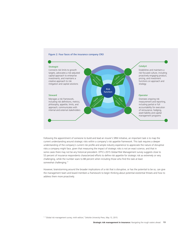#### Figure 2: Four faces of the insurance company CRO



Following the appointment of someone to build and lead an insurer's SRM initiative, an important task is to map the current understanding around strategic risks within a company's risk appetite framework. This task requires a deeper understanding of the company's current risk profile and ample industry experience to appreciate the nature of disruptive risks a company might face, given that measuring the impact of strategic risks is not an exact science, and that in some cases there may not be any historical precedent. DTTL's 2015 Global Risk Management survey suggests close to 53 percent of insurance respondents characterized efforts to define risk appetite for strategic risk as extremely or very challenging, while the number soars to 88 percent when including those who find this task at least somewhat challenging.<sup>11</sup>

However, brainstorming around the broader implications of a risk that is disruptive, or has the potential to be so, can give the management team and board members a framework to begin thinking about potential existential threats and how to address them more proactively.

11 "[Global risk management survey, ninth edition,](http://dupress.com/articles/global-risk-management-survey-financial-services)" Deloitte University Press, May 13, 2015.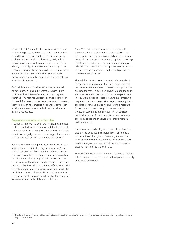To start, the SRM team should build capabilities to scan for emerging strategic threats on the horizon. As these capabilities evolve, insurers should consider adopting sophisticated tools such as risk sensing, designed to provide stakeholders with an outside-in view of risk to identify potentially disruptive strategic challenges. This tool can systematically exploit a wide array of structured and unstructured data from mainstream and social media sources to identify signals and trends indicative of emerging disruptive risks.

An SRM dimension of an insurer's risk report should be developed, weighing the potential impact—both positive and negative—of strategic risks as they are identified. This requires a rigorous analysis of externally focused information such as the economic environment, technological shifts, demographic changes, competitor activity, and developments in the industries where an insurer does business.

#### **Prepare a scenario-based action plan**

After identifying top strategic risks, the SRM team needs to drill down further on each topic and develop a threat and opportunity assessment for each, combining human experience and judgment with technology enhancements such as advanced analytics and predictive modeling.

For risks where measuring the impact in financial or other statistical terms is difficult, using tools such as a Monte Carlo simulation<sup>12</sup> will help generate optimal outcomes. Life insurers could also leverage the stochastic modeling techniques they already employ while developing riskbased scenarios for life and annuity products. Such tools can mimic the financial impact of a real-life situation, with the help of inputs provided by a risk analytics expert. The multiple outcomes with probabilities attached can help the management team and board visualize the severity of various outcomes under different conditions.

An SRM report with scenarios for top strategic risks should become part of a regular formal discussion for the management team and board of directors to debate potential outcomes and think through options to manage threats and opportunities. The dual nature of strategic risks will require insurers to develop a two-way approach to deal with them, encompassing both mitigation and commercialization tactics.

The task for the SRM team along with C-Suite leaders is to consider a solution matrix that helps design optimal responses for each scenario. Moreover, it is important to circulate the scenario-based action plan among the entire executive leadership team, which could then participate in regular simulation exercises to ensure the company is prepared should a strategic risk emerge or intensify. Such exercises may involve designing and testing a response for each scenario with clearly laid out assumptions. Computer-based simulation models, which consider potential responses from competitors as well, can help executives gauge the effectiveness of their actions in real-life situations.

Insurers may use technologies such as online interactive platforms to generate meaningful discussions on how to respond to a strategic risk. Data analytics tools can be leveraged to summarize and rate the responses. Such practice at regular intervals can help insurers develop a playbook for handling strategic risks.

The key is to have a system in place to respond to strategic risks as they arise, even if they are not fully or even partially anticipated beforehand.

<sup>&</sup>lt;sup>12</sup> A Monte Carlo simulation is a problem-solving technique used to approximate the probability of various outcomes by running multiple trial runs using random variables.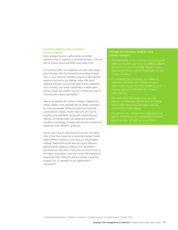## **Leverage cognitive tools to enhance decision-making**

Every strategic decision is affected by an invisible obstacle—that is, cognitive or institutional biases. They are part of human nature and affect most areas of life.

In the field of SRM, such obstacles can loom even larger, given the high level of uncertainty surrounding strategic risks. In such scenarios, decisions may be at least partially based on hunches or gut feelings rather than more objective elements such as hard data or prior experience. Since avoiding such biases completely is unlikely given human nature, the solution may lie in finding out ways to minimize their impact (see sidebar).

Take as an example the combat strategies employed by military leaders, who generally look to design responses for every foreseeable method of attack and potential counterattack. Indeed, modern day wars are not only fought on the battlefield. Along with intense physical training, the military often uses advanced computer simulation technology to design and test their actions and responses under different conditions.

Insurers also have an opportunity to use such simulation tools to test their responses to potential strategic threats under different scenarios. Such tools can help broaden strategic brainstorming and serve as a quick reference during real-life situations. Without such simulations, executives are more likely to fall victim to one or more of the biases noted above, and may not be fully prepared to proactively either offset the threat posed by a potential strategic risk, or capitalize on the opportunity it may present.

# Examples of a few biases faced by many business managers<sup>13</sup>

- The overconfidence bias convinces us to trust our gut
- The availability bias encourages us to inflate the importance and likelihood of things we saw or read recently (and are thus most available to us in
- The confirmation bias causes us to pay more
- and all our plans will work out as we intend.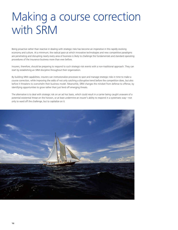# Making a course correction with SRM

Being proactive rather than reactive in dealing with strategic risks has become an imperative in this rapidly evolving economy and culture. At a minimum, the radical pace at which innovative technologies and new competitive paradigms are penetrating and disrupting nearly every area of business is likely to challenge the fundamentals and standard operating procedures of the insurance business more than ever before.

Insurers, therefore, should be preparing to respond to such strategic-risk events with a non-traditional approach. They can start by establishing an SRM discipline throughout their organization.

By building SRM capabilities, insurers can institutionalize processes to spot and manage strategic risks in time to make a course correction, while improving the odds of not only catching a disruptive trend before the competition does, but also before it threatens to overwhelm their business model. Meanwhile, SRM changes the mindset from defense to offense, by identifying opportunities to grow rather than just fend off emerging threats.

The alternative is to deal with strategic risk on an ad hoc basis, which could result in a carrier being caught unaware of a potential existential threat on the horizon, or at least undermine an insurer's ability to respond in a systematic way—not only to ward off the challenge, but to capitalize on it.

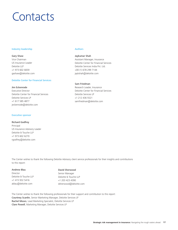# **Contacts**

### Industry leadership

# Gary Shaw

Vice Chairman US Insurance Leader Deloitte LLP +1 973 602 6659 gashaw@deloitte.com

#### Deloitte Center for Financial Services

### Jim Eckenrode

Executive Director Deloitte Center for Financial Services Deloitte Services LP +1 617 585 4877 jeckenrode@deloitte.com

## Executive sponsor

#### Richard Godfrey

Principal US Insurance Advisory Leader Deloitte & Touche LLP +1 973 602 6270 rgodfrey@deloitte.com

#### Authors

Jaykumar Shah Assistant Manager, Insurance Deloitte Center for Financial Services Deloitte Services India Pvt. Ltd. +00 (1) 678 299 7144 jaykshah@deloitte.com

#### Sam Friedman

Research Leader, Insurance Deloitte Center for Financial Services Deloitte Services LP +1 212 436 5521 samfriedman@deloitte.com

The Center wishes to thank the following Deloitte Advisory client service professionals for their insights and contributions to this report:

# Andrew Blau

David Sherwood

Director Deloitte & Touche LLP +1 415 932 5416 ablau@deloitte.com

Senior Manager Deloitte & Touche LLP +1 203 423 4390 dsherwood@deloitte.com

The Center wishes to thank the following professionals for their support and contribution to this report: Courtney Scanlin, Senior Marketing Manager, Deloitte Services LP Rachel Moses, Lead Marketing Specialist, Deloitte Services LP Clare Powell, Marketing Manager, Deloitte Services LP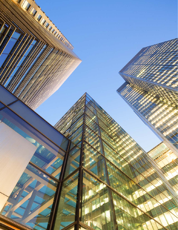